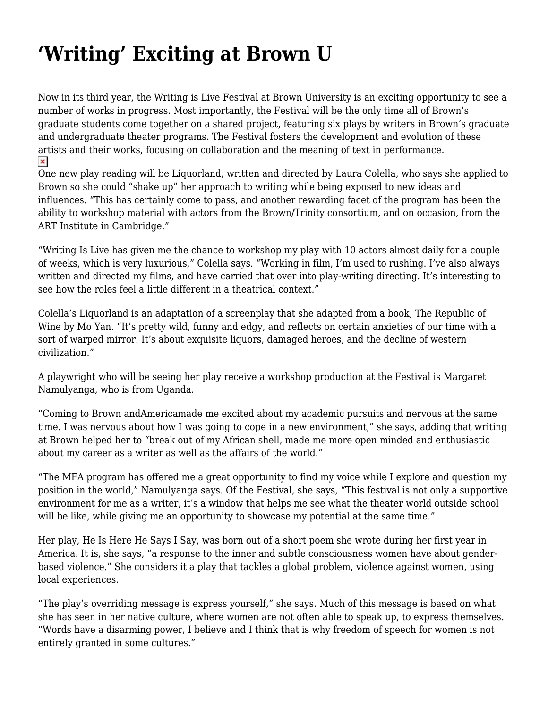## **['Writing' Exciting at Brown U](https://motifri.com/writing-exciting-at-brown-u/)**

Now in its third year, the Writing is Live Festival at Brown University is an exciting opportunity to see a number of works in progress. Most importantly, the Festival will be the only time all of Brown's graduate students come together on a shared project, featuring six plays by writers in Brown's graduate and undergraduate theater programs. The Festival fosters the development and evolution of these artists and their works, focusing on collaboration and the meaning of text in performance.  $\pmb{\times}$ 

One new play reading will be Liquorland, written and directed by Laura Colella, who says she applied to Brown so she could "shake up" her approach to writing while being exposed to new ideas and influences. "This has certainly come to pass, and another rewarding facet of the program has been the ability to workshop material with actors from the Brown/Trinity consortium, and on occasion, from the ART Institute in Cambridge."

"Writing Is Live has given me the chance to workshop my play with 10 actors almost daily for a couple of weeks, which is very luxurious," Colella says. "Working in film, I'm used to rushing. I've also always written and directed my films, and have carried that over into play-writing directing. It's interesting to see how the roles feel a little different in a theatrical context."

Colella's Liquorland is an adaptation of a screenplay that she adapted from a book, The Republic of Wine by Mo Yan. "It's pretty wild, funny and edgy, and reflects on certain anxieties of our time with a sort of warped mirror. It's about exquisite liquors, damaged heroes, and the decline of western civilization."

A playwright who will be seeing her play receive a workshop production at the Festival is Margaret Namulyanga, who is from Uganda.

"Coming to Brown andAmericamade me excited about my academic pursuits and nervous at the same time. I was nervous about how I was going to cope in a new environment," she says, adding that writing at Brown helped her to "break out of my African shell, made me more open minded and enthusiastic about my career as a writer as well as the affairs of the world."

"The MFA program has offered me a great opportunity to find my voice while I explore and question my position in the world," Namulyanga says. Of the Festival, she says, "This festival is not only a supportive environment for me as a writer, it's a window that helps me see what the theater world outside school will be like, while giving me an opportunity to showcase my potential at the same time."

Her play, He Is Here He Says I Say, was born out of a short poem she wrote during her first year in America. It is, she says, "a response to the inner and subtle consciousness women have about genderbased violence." She considers it a play that tackles a global problem, violence against women, using local experiences.

"The play's overriding message is express yourself," she says. Much of this message is based on what she has seen in her native culture, where women are not often able to speak up, to express themselves. "Words have a disarming power, I believe and I think that is why freedom of speech for women is not entirely granted in some cultures."